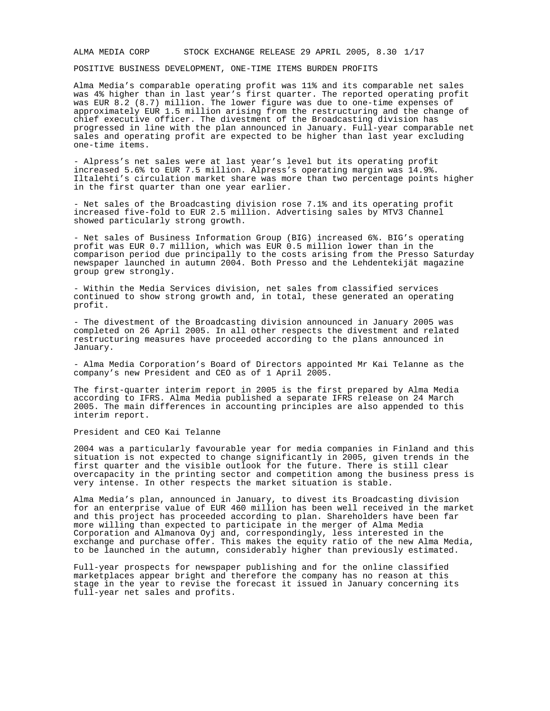ALMA MEDIA CORP STOCK EXCHANGE RELEASE 29 APRIL 2005, 8.30 1/17

POSITIVE BUSINESS DEVELOPMENT, ONE-TIME ITEMS BURDEN PROFITS

Alma Media's comparable operating profit was 11% and its comparable net sales was 4% higher than in last year's first quarter. The reported operating profit was EUR 8.2 (8.7) million. The lower figure was due to one-time expenses of approximately EUR 1.5 million arising from the restructuring and the change of chief executive officer. The divestment of the Broadcasting division has progressed in line with the plan announced in January. Full-year comparable net sales and operating profit are expected to be higher than last year excluding one-time items.

- Alpress's net sales were at last year's level but its operating profit increased 5.6% to EUR 7.5 million. Alpress's operating margin was 14.9%. Iltalehti's circulation market share was more than two percentage points higher in the first quarter than one year earlier.

- Net sales of the Broadcasting division rose 7.1% and its operating profit increased five-fold to EUR 2.5 million. Advertising sales by MTV3 Channel showed particularly strong growth.

- Net sales of Business Information Group (BIG) increased 6%. BIG's operating profit was EUR 0.7 million, which was EUR 0.5 million lower than in the comparison period due principally to the costs arising from the Presso Saturday newspaper launched in autumn 2004. Both Presso and the Lehdentekijät magazine group grew strongly.

- Within the Media Services division, net sales from classified services continued to show strong growth and, in total, these generated an operating profit.

- The divestment of the Broadcasting division announced in January 2005 was completed on 26 April 2005. In all other respects the divestment and related restructuring measures have proceeded according to the plans announced in January.

- Alma Media Corporation's Board of Directors appointed Mr Kai Telanne as the company's new President and CEO as of 1 April 2005.

The first-quarter interim report in 2005 is the first prepared by Alma Media according to IFRS. Alma Media published a separate IFRS release on 24 March 2005. The main differences in accounting principles are also appended to this interim report.

President and CEO Kai Telanne

2004 was a particularly favourable year for media companies in Finland and this situation is not expected to change significantly in 2005, given trends in the first quarter and the visible outlook for the future. There is still clear overcapacity in the printing sector and competition among the business press is very intense. In other respects the market situation is stable.

Alma Media's plan, announced in January, to divest its Broadcasting division for an enterprise value of EUR 460 million has been well received in the market and this project has proceeded according to plan. Shareholders have been far more willing than expected to participate in the merger of Alma Media Corporation and Almanova Oyj and, correspondingly, less interested in the exchange and purchase offer. This makes the equity ratio of the new Alma Media, to be launched in the autumn, considerably higher than previously estimated.

Full-year prospects for newspaper publishing and for the online classified marketplaces appear bright and therefore the company has no reason at this stage in the year to revise the forecast it issued in January concerning its full-year net sales and profits.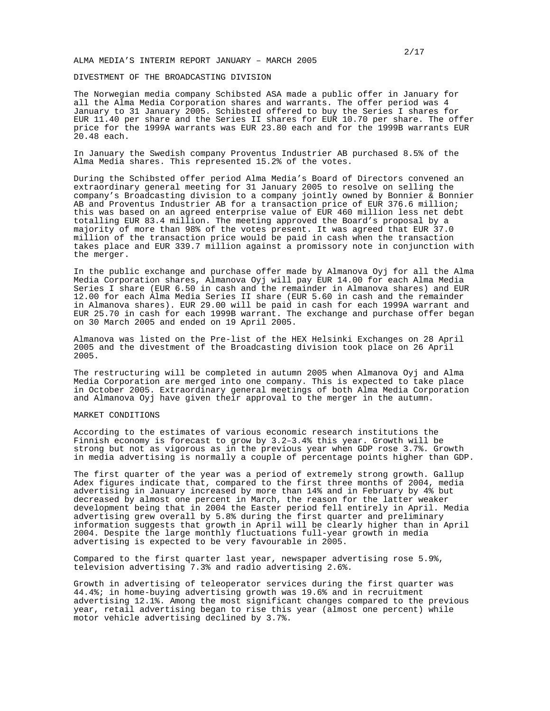#### ALMA MEDIA'S INTERIM REPORT JANUARY – MARCH 2005

## DIVESTMENT OF THE BROADCASTING DIVISION

The Norwegian media company Schibsted ASA made a public offer in January for all the Alma Media Corporation shares and warrants. The offer period was 4 January to 31 January 2005. Schibsted offered to buy the Series I shares for EUR 11.40 per share and the Series II shares for EUR 10.70 per share. The offer price for the 1999A warrants was EUR 23.80 each and for the 1999B warrants EUR 20.48 each.

In January the Swedish company Proventus Industrier AB purchased 8.5% of the Alma Media shares. This represented 15.2% of the votes.

During the Schibsted offer period Alma Media's Board of Directors convened an extraordinary general meeting for 31 January 2005 to resolve on selling the company's Broadcasting division to a company jointly owned by Bonnier & Bonnier AB and Proventus Industrier AB for a transaction price of EUR 376.6 million; this was based on an agreed enterprise value of EUR 460 million less net debt totalling EUR 83.4 million. The meeting approved the Board's proposal by a majority of more than 98% of the votes present. It was agreed that EUR 37.0 million of the transaction price would be paid in cash when the transaction takes place and EUR 339.7 million against a promissory note in conjunction with the merger.

In the public exchange and purchase offer made by Almanova Oyj for all the Alma Media Corporation shares, Almanova Oyj will pay EUR 14.00 for each Alma Media Series I share (EUR 6.50 in cash and the remainder in Almanova shares) and EUR 12.00 for each Alma Media Series II share (EUR 5.60 in cash and the remainder in Almanova shares). EUR 29.00 will be paid in cash for each 1999A warrant and EUR 25.70 in cash for each 1999B warrant. The exchange and purchase offer began on 30 March 2005 and ended on 19 April 2005.

Almanova was listed on the Pre-list of the HEX Helsinki Exchanges on 28 April 2005 and the divestment of the Broadcasting division took place on 26 April 2005.

The restructuring will be completed in autumn 2005 when Almanova Oyj and Alma Media Corporation are merged into one company. This is expected to take place in October 2005. Extraordinary general meetings of both Alma Media Corporation and Almanova Oyj have given their approval to the merger in the autumn.

# MARKET CONDITIONS

According to the estimates of various economic research institutions the Finnish economy is forecast to grow by 3.2–3.4% this year. Growth will be strong but not as vigorous as in the previous year when GDP rose 3.7%. Growth in media advertising is normally a couple of percentage points higher than GDP.

The first quarter of the year was a period of extremely strong growth. Gallup Adex figures indicate that, compared to the first three months of 2004, media advertising in January increased by more than 14% and in February by 4% but decreased by almost one percent in March, the reason for the latter weaker development being that in 2004 the Easter period fell entirely in April. Media advertising grew overall by 5.8% during the first quarter and preliminary information suggests that growth in April will be clearly higher than in April 2004. Despite the large monthly fluctuations full-year growth in media advertising is expected to be very favourable in 2005.

Compared to the first quarter last year, newspaper advertising rose 5.9%, television advertising 7.3% and radio advertising 2.6%.

Growth in advertising of teleoperator services during the first quarter was 44.4%; in home-buying advertising growth was 19.6% and in recruitment advertising 12.1%. Among the most significant changes compared to the previous year, retail advertising began to rise this year (almost one percent) while motor vehicle advertising declined by 3.7%.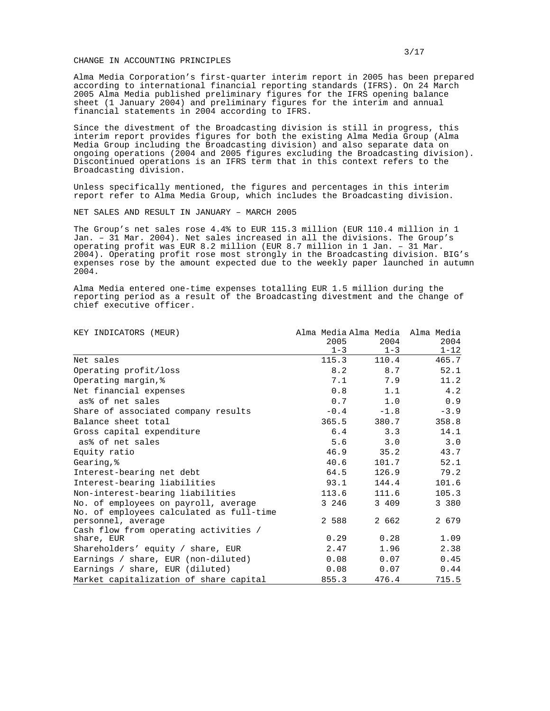#### CHANGE IN ACCOUNTING PRINCIPLES

Alma Media Corporation's first-quarter interim report in 2005 has been prepared according to international financial reporting standards (IFRS). On 24 March 2005 Alma Media published preliminary figures for the IFRS opening balance sheet (1 January 2004) and preliminary figures for the interim and annual financial statements in 2004 according to IFRS.

Since the divestment of the Broadcasting division is still in progress, this interim report provides figures for both the existing Alma Media Group (Alma Media Group including the Broadcasting division) and also separate data on ongoing operations (2004 and 2005 figures excluding the Broadcasting division). Discontinued operations is an IFRS term that in this context refers to the Broadcasting division.

Unless specifically mentioned, the figures and percentages in this interim report refer to Alma Media Group, which includes the Broadcasting division.

NET SALES AND RESULT IN JANUARY – MARCH 2005

The Group's net sales rose 4.4% to EUR 115.3 million (EUR 110.4 million in 1 Jan. – 31 Mar. 2004). Net sales increased in all the divisions. The Group's operating profit was EUR 8.2 million (EUR 8.7 million in 1 Jan. – 31 Mar. 2004). Operating profit rose most strongly in the Broadcasting division. BIG's expenses rose by the amount expected due to the weekly paper launched in autumn 2004.

Alma Media entered one-time expenses totalling EUR 1.5 million during the reporting period as a result of the Broadcasting divestment and the change of chief executive officer.

| KEY INDICATORS (MEUR)                                          | Alma Media Alma Media Alma Media |                 |                  |
|----------------------------------------------------------------|----------------------------------|-----------------|------------------|
|                                                                | 2005<br>$1 - 3$                  | 2004<br>$1 - 3$ | 2004<br>$1 - 12$ |
| Net sales                                                      | 115.3                            | 110.4           | 465.7            |
| Operating profit/loss                                          | 8.2                              | 8.7             | 52.1             |
| Operating margin, %                                            | 7.1                              | 7.9             | 11.2             |
| Net financial expenses                                         | 0.8                              | 1.1             | 4.2              |
| as% of net sales                                               | 0.7                              | 1.0             | 0.9              |
| Share of associated company results                            | $-0.4$                           | $-1.8$          | $-3.9$           |
| Balance sheet total                                            | 365.5                            | 380.7           | 358.8            |
| Gross capital expenditure                                      | 6.4                              | 3.3             | 14.1             |
| as% of net sales                                               | 5.6                              | 3.0             | 3.0              |
| Equity ratio                                                   | 46.9                             | 35.2            | 43.7             |
| Gearing, &                                                     | 40.6                             | 101.7           | 52.1             |
| Interest-bearing net debt                                      | 64.5                             | 126.9           | 79.2             |
| Interest-bearing liabilities                                   | 93.1                             | 144.4           | 101.6            |
| Non-interest-bearing liabilities                               | 113.6                            | 111.6           | 105.3            |
| No. of employees on payroll, average                           | 3 246                            | 3 409           | 3 3 8 0          |
| No. of employees calculated as full-time<br>personnel, average | 2 588                            | 2 662           | 2 679            |
| Cash flow from operating activities /                          |                                  |                 |                  |
| share, EUR                                                     | 0.29                             | 0.28            | 1.09             |
| Shareholders' equity / share, EUR                              | 2.47                             | 1.96            | 2.38             |
| Earnings / share, EUR (non-diluted)                            | 0.08                             | 0.07            | 0.45             |
| Earnings / share, EUR (diluted)                                | 0.08                             | 0.07            | 0.44             |
| Market capitalization of share capital                         | 855.3                            | 476.4           | 715.5            |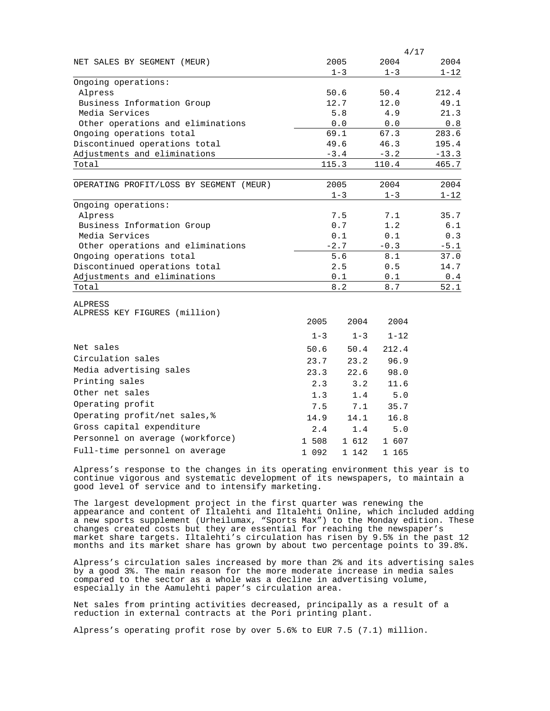|                                                               | 4/17    |               |               |                                                       |  |
|---------------------------------------------------------------|---------|---------------|---------------|-------------------------------------------------------|--|
| NET SALES BY SEGMENT (MEUR)                                   |         | 2005          | 2004          | 2004                                                  |  |
|                                                               |         | $1 - 3$       | $1 - 3$       | $1 - 12$                                              |  |
| Ongoing operations:                                           |         |               |               |                                                       |  |
| Alpress                                                       |         | 50.6          | 50.4          | 212.4                                                 |  |
| Business Information Group                                    |         | 12.7          | 12.0          | 49.1                                                  |  |
| Media Services                                                |         | $5.8$         | 4.9           | 21.3                                                  |  |
| Other operations and eliminations                             |         | 0.0           | 0.0           | $\ensuremath{\mathbf{0}}$ . $\ensuremath{\mathbf{8}}$ |  |
| Ongoing operations total                                      |         | 69.1          | 67.3          | 283.6                                                 |  |
| Discontinued operations total                                 |         | 49.6          | 46.3          | 195.4                                                 |  |
| Adjustments and eliminations                                  |         | $-3.4$        | $-3.2$        | $-13.3$                                               |  |
| Total                                                         |         | 115.3         | 110.4         | 465.7                                                 |  |
|                                                               |         |               |               |                                                       |  |
| OPERATING PROFIT/LOSS BY SEGMENT (MEUR)                       |         | 2005          | 2004          | 2004                                                  |  |
|                                                               |         | $1 - 3$       | $1 - 3$       | $1 - 12$                                              |  |
| Ongoing operations:                                           |         |               |               |                                                       |  |
| Alpress                                                       |         | 7.5<br>0.7    | 7.1<br>1.2    | 35.7                                                  |  |
| Business Information Group                                    |         |               |               | 6.1                                                   |  |
| Media Services                                                |         | 0.1<br>$-2.7$ | 0.1           | 0.3                                                   |  |
| Other operations and eliminations<br>Ongoing operations total |         | 5.6           | $-0.3$<br>8.1 | $-5.1$<br>37.0                                        |  |
|                                                               |         | 2.5           | 0.5           | 14.7                                                  |  |
| Discontinued operations total<br>Adjustments and eliminations | 0.1     |               | 0.1           |                                                       |  |
| Total                                                         |         | 8.2           |               | 0.4<br>52.1                                           |  |
|                                                               |         |               | 8.7           |                                                       |  |
| <b>ALPRESS</b>                                                |         |               |               |                                                       |  |
| ALPRESS KEY FIGURES (million)                                 |         |               |               |                                                       |  |
|                                                               | 2005    | 2004          | 2004          |                                                       |  |
|                                                               | $1 - 3$ | $1 - 3$       | $1 - 12$      |                                                       |  |
| Net sales                                                     | 50.6    | 50.4          | 212.4         |                                                       |  |
| Circulation sales                                             | 23.7    | 23.2          | 96.9          |                                                       |  |
| Media advertising sales                                       | 23.3    | 22.6          | 98.0          |                                                       |  |
| Printing sales                                                | 2.3     | 3.2           | 11.6          |                                                       |  |
| Other net sales                                               | 1.3     | 1.4           | 5.0           |                                                       |  |
| Operating profit                                              | 7.5     | 7.1           | 35.7          |                                                       |  |
| Operating profit/net sales, %                                 |         |               |               |                                                       |  |
| Gross capital expenditure                                     | 14.9    | 14.1          | 16.8          |                                                       |  |
|                                                               | 2.4     | 1.4           | 5.0           |                                                       |  |
| Personnel on average (workforce)                              | 1 508   | 1 612         | 1 607         |                                                       |  |
| Full-time personnel on average                                | 1 092   | $1 \t142$     | 1 165         |                                                       |  |

Alpress's response to the changes in its operating environment this year is to continue vigorous and systematic development of its newspapers, to maintain a good level of service and to intensify marketing.

The largest development project in the first quarter was renewing the appearance and content of Iltalehti and Iltalehti Online, which included adding a new sports supplement (Urheilumax, "Sports Max") to the Monday edition. These changes created costs but they are essential for reaching the newspaper's market share targets. Iltalehti's circulation has risen by 9.5% in the past 12 months and its market share has grown by about two percentage points to 39.8%.

Alpress's circulation sales increased by more than 2% and its advertising sales by a good 3%. The main reason for the more moderate increase in media sales compared to the sector as a whole was a decline in advertising volume, especially in the Aamulehti paper's circulation area.

Net sales from printing activities decreased, principally as a result of a reduction in external contracts at the Pori printing plant.

Alpress's operating profit rose by over 5.6% to EUR 7.5 (7.1) million.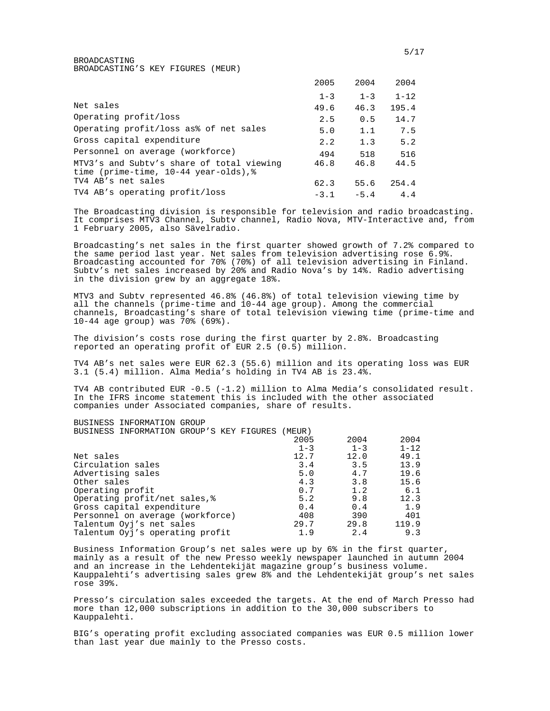BROADCASTING BROADCASTING'S KEY FIGURES (MEUR)

|                                                                                                  | 2005    | 2004    | 2004     |
|--------------------------------------------------------------------------------------------------|---------|---------|----------|
|                                                                                                  | $1 - 3$ | $1 - 3$ | $1 - 12$ |
| Net sales                                                                                        | 49.6    | 46.3    | 195.4    |
| Operating profit/loss                                                                            | 2.5     | 0.5     | 14.7     |
| Operating profit/loss as% of net sales                                                           | 5.0     | 1.1     | 7.5      |
| Gross capital expenditure                                                                        | 2.2     | 1.3     | 5.2      |
| Personnel on average (workforce)                                                                 | 494     | 518     | 516      |
| MTV3's and Subtv's share of total viewing<br>time (prime-time, $10-44$ year-olds), $\frac{1}{2}$ | 46.8    | 46.8    | 44.5     |
| TV4 AB's net sales                                                                               | 62.3    | 55.6    | 254.4    |
| TV4 AB's operating profit/loss                                                                   | $-3.1$  | $-5.4$  | 4.4      |

The Broadcasting division is responsible for television and radio broadcasting. It comprises MTV3 Channel, Subtv channel, Radio Nova, MTV-Interactive and, from 1 February 2005, also Sävelradio.

Broadcasting's net sales in the first quarter showed growth of 7.2% compared to the same period last year. Net sales from television advertising rose 6.9%. Broadcasting accounted for 70% (70%) of all television advertising in Finland. Subtv's net sales increased by 20% and Radio Nova's by 14%. Radio advertising in the division grew by an aggregate 18%.

MTV3 and Subtv represented 46.8% (46.8%) of total television viewing time by all the channels (prime-time and 10-44 age group). Among the commercial channels, Broadcasting's share of total television viewing time (prime-time and 10-44 age group) was 70% (69%).

The division's costs rose during the first quarter by 2.8%. Broadcasting reported an operating profit of EUR 2.5 (0.5) million.

TV4 AB's net sales were EUR 62.3 (55.6) million and its operating loss was EUR 3.1 (5.4) million. Alma Media's holding in TV4 AB is 23.4%.

TV4 AB contributed EUR -0.5 (-1.2) million to Alma Media's consolidated result. In the IFRS income statement this is included with the other associated companies under Associated companies, share of results.

BUSINESS INFORMATION GROUP BUSINESS INFORMATION GROUP'S KEY FIGURES (MEUR)

| 2005    | 2004    | 2004     |
|---------|---------|----------|
| $1 - 3$ | $1 - 3$ | $1 - 12$ |
| 12.7    | 12.0    | 49.1     |
| 3.4     | 3.5     | 13.9     |
| 5.0     | 4.7     | 19.6     |
| 4.3     | 3.8     | 15.6     |
| 0.7     | 1.2     | 6.1      |
| 5.2     | 9.8     | 12.3     |
| 0.4     | 0.4     | 1.9      |
| 408     | 390     | 401      |
| 29.7    | 29.8    | 119.9    |
| 1.9     | 2.4     | 9.3      |
|         |         |          |

Business Information Group's net sales were up by 6% in the first quarter, mainly as a result of the new Presso weekly newspaper launched in autumn 2004 and an increase in the Lehdentekijät magazine group's business volume. Kauppalehti's advertising sales grew 8% and the Lehdentekijät group's net sales rose 39%.

Presso's circulation sales exceeded the targets. At the end of March Presso had more than 12,000 subscriptions in addition to the 30,000 subscribers to Kauppalehti.

BIG's operating profit excluding associated companies was EUR 0.5 million lower than last year due mainly to the Presso costs.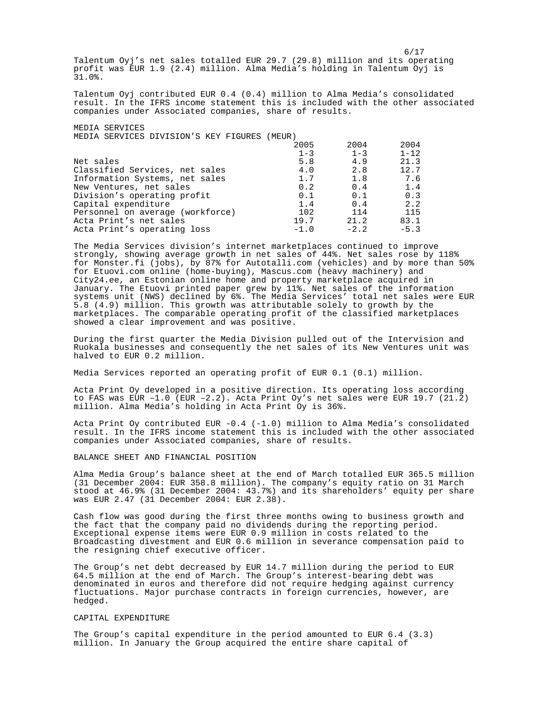Talentum Oyj's net sales totalled EUR 29.7 (29.8) million and its operating profit was EUR 1.9 (2.4) million. Alma Media's holding in Talentum Oyj is 31.0%.

Talentum Oyj contributed EUR 0.4 (0.4) million to Alma Media's consolidated result. In the IFRS income statement this is included with the other associated companies under Associated companies, share of results.

MEDIA SERVICES MEDIA SERVICES DIVISION'S KEY FIGURES (MEUR)

|                                  | 2005    | 2004    | 2004     |
|----------------------------------|---------|---------|----------|
|                                  | $1 - 3$ | $1 - 3$ | $1 - 12$ |
| Net sales                        | 5.8     | 4.9     | 21.3     |
| Classified Services, net sales   | 4.0     | 2.8     | 12.7     |
| Information Systems, net sales   | 1.7     | 1.8     | 7.6      |
| New Ventures, net sales          | 0.2     | 0.4     | 1.4      |
| Division's operating profit      | 0.1     | 0.1     | 0.3      |
| Capital expenditure              | 1.4     | 0.4     | 2.2      |
| Personnel on average (workforce) | 102     | 114     | 115      |
| Acta Print's net sales           | 19.7    | 21.2    | 83.1     |
| Acta Print's operating loss      | $-1.0$  | $-2.2$  | $-5.3$   |

The Media Services division's internet marketplaces continued to improve strongly, showing average growth in net sales of 44%. Net sales rose by 118% for Monster.fi (jobs), by 87% for Autotalli.com (vehicles) and by more than 50% for Etuovi.com online (home-buying), Mascus.com (heavy machinery) and City24.ee, an Estonian online home and property marketplace acquired in January. The Etuovi printed paper grew by 11%. Net sales of the information systems unit (NWS) declined by 6%. The Media Services' total net sales were EUR 5.8 (4.9) million. This growth was attributable solely to growth by the marketplaces. The comparable operating profit of the classified marketplaces showed a clear improvement and was positive.

During the first quarter the Media Division pulled out of the Intervision and Ruokala businesses and consequently the net sales of its New Ventures unit was halved to EUR 0.2 million.

Media Services reported an operating profit of EUR 0.1 (0.1) million.

Acta Print Oy developed in a positive direction. Its operating loss according to FAS was EUR  $-1.0$  (EUR  $-2.2$ ). Acta Print Oy's net sales were EUR 19.7 (21.2) million. Alma Media's holding in Acta Print Oy is 36%.

Acta Print Oy contributed EUR -0.4 (-1.0) million to Alma Media's consolidated result. In the IFRS income statement this is included with the other associated companies under Associated companies, share of results.

BALANCE SHEET AND FINANCIAL POSITION

Alma Media Group's balance sheet at the end of March totalled EUR 365.5 million (31 December 2004: EUR 358.8 million). The company's equity ratio on 31 March stood at 46.9% (31 December 2004: 43.7%) and its shareholders' equity per share was EUR 2.47 (31 December 2004: EUR 2.38).

Cash flow was good during the first three months owing to business growth and the fact that the company paid no dividends during the reporting period. Exceptional expense items were EUR 0.9 million in costs related to the Broadcasting divestment and EUR 0.6 million in severance compensation paid to the resigning chief executive officer.

The Group's net debt decreased by EUR 14.7 million during the period to EUR 64.5 million at the end of March. The Group's interest-bearing debt was denominated in euros and therefore did not require hedging against currency fluctuations. Major purchase contracts in foreign currencies, however, are hedged.

### CAPITAL EXPENDITURE

The Group's capital expenditure in the period amounted to EUR 6.4 (3.3) million. In January the Group acquired the entire share capital of

 $6/17$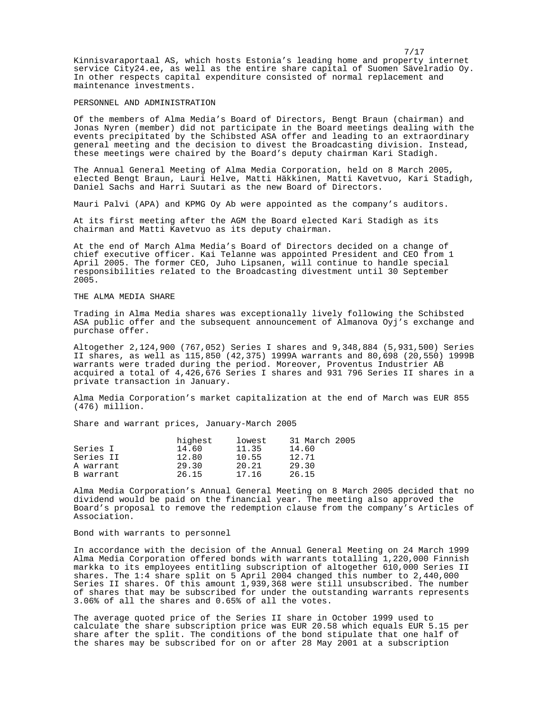Kinnisvaraportaal AS, which hosts Estonia's leading home and property internet service City24.ee, as well as the entire share capital of Suomen Sävelradio Oy. In other respects capital expenditure consisted of normal replacement and maintenance investments.

## PERSONNEL AND ADMINISTRATION

Of the members of Alma Media's Board of Directors, Bengt Braun (chairman) and Jonas Nyren (member) did not participate in the Board meetings dealing with the events precipitated by the Schibsted ASA offer and leading to an extraordinary general meeting and the decision to divest the Broadcasting division. Instead, these meetings were chaired by the Board's deputy chairman Kari Stadigh.

The Annual General Meeting of Alma Media Corporation, held on 8 March 2005, elected Bengt Braun, Lauri Helve, Matti Häkkinen, Matti Kavetvuo, Kari Stadigh, Daniel Sachs and Harri Suutari as the new Board of Directors.

Mauri Palvi (APA) and KPMG Oy Ab were appointed as the company's auditors.

At its first meeting after the AGM the Board elected Kari Stadigh as its chairman and Matti Kavetvuo as its deputy chairman.

At the end of March Alma Media's Board of Directors decided on a change of chief executive officer. Kai Telanne was appointed President and CEO from 1 April 2005. The former CEO, Juho Lipsanen, will continue to handle special responsibilities related to the Broadcasting divestment until 30 September 2005.

# THE ALMA MEDIA SHARE

Trading in Alma Media shares was exceptionally lively following the Schibsted ASA public offer and the subsequent announcement of Almanova Oyj's exchange and purchase offer.

Altogether 2,124,900 (767,052) Series I shares and 9,348,884 (5,931,500) Series II shares, as well as 115,850 (42,375) 1999A warrants and 80,698 (20,550) 1999B warrants were traded during the period. Moreover, Proventus Industrier AB acquired a total of 4,426,676 Series I shares and 931 796 Series II shares in a private transaction in January.

Alma Media Corporation's market capitalization at the end of March was EUR 855 (476) million.

Share and warrant prices, January-March 2005

|           | highest | lowest | 31 March 2005 |
|-----------|---------|--------|---------------|
| Series I  | 14.60   | 11.35  | 14.60         |
| Series II | 12.80   | 10.55  | 12.71         |
| A warrant | 29.30   | 20.21  | 29.30         |
| B warrant | 26.15   | 17.16  | 26.15         |

Alma Media Corporation's Annual General Meeting on 8 March 2005 decided that no dividend would be paid on the financial year. The meeting also approved the Board's proposal to remove the redemption clause from the company's Articles of Association.

## Bond with warrants to personnel

In accordance with the decision of the Annual General Meeting on 24 March 1999 Alma Media Corporation offered bonds with warrants totalling 1,220,000 Finnish markka to its employees entitling subscription of altogether 610,000 Series II shares. The 1:4 share split on 5 April 2004 changed this number to 2,440,000 Series II shares. Of this amount  $1,939,368$  were still unsubscribed. The number of shares that may be subscribed for under the outstanding warrants represents 3.06% of all the shares and 0.65% of all the votes.

The average quoted price of the Series II share in October 1999 used to calculate the share subscription price was EUR 20.58 which equals EUR 5.15 per share after the split. The conditions of the bond stipulate that one half of the shares may be subscribed for on or after 28 May 2001 at a subscription

7/17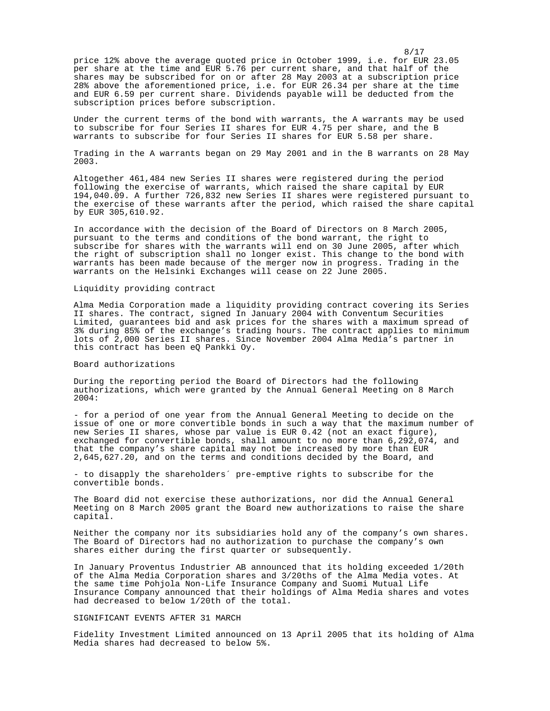8/17 price 12% above the average quoted price in October 1999, i.e. for EUR 23.05 per share at the time and EUR 5.76 per current share, and that half of the shares may be subscribed for on or after 28 May 2003 at a subscription price 28% above the aforementioned price, i.e. for EUR 26.34 per share at the time and EUR 6.59 per current share. Dividends payable will be deducted from the subscription prices before subscription.

Under the current terms of the bond with warrants, the A warrants may be used to subscribe for four Series II shares for EUR 4.75 per share, and the B warrants to subscribe for four Series II shares for EUR 5.58 per share.

Trading in the A warrants began on 29 May 2001 and in the B warrants on 28 May 2003.

Altogether 461,484 new Series II shares were registered during the period following the exercise of warrants, which raised the share capital by EUR 194,040.09. A further 726,832 new Series II shares were registered pursuant to the exercise of these warrants after the period, which raised the share capital by EUR 305,610.92.

In accordance with the decision of the Board of Directors on 8 March 2005, pursuant to the terms and conditions of the bond warrant, the right to subscribe for shares with the warrants will end on 30 June 2005, after which the right of subscription shall no longer exist. This change to the bond with warrants has been made because of the merger now in progress. Trading in the warrants on the Helsinki Exchanges will cease on 22 June 2005.

### Liquidity providing contract

Alma Media Corporation made a liquidity providing contract covering its Series II shares. The contract, signed In January 2004 with Conventum Securities Limited, guarantees bid and ask prices for the shares with a maximum spread of 3% during 85% of the exchange's trading hours. The contract applies to minimum lots of 2,000 Series II shares. Since November 2004 Alma Media's partner in this contract has been eQ Pankki Oy.

Board authorizations

During the reporting period the Board of Directors had the following authorizations, which were granted by the Annual General Meeting on 8 March 2004:

- for a period of one year from the Annual General Meeting to decide on the issue of one or more convertible bonds in such a way that the maximum number of new Series II shares, whose par value is EUR 0.42 (not an exact figure), exchanged for convertible bonds, shall amount to no more than 6,292,074, and that the company's share capital may not be increased by more than EUR 2,645,627.20, and on the terms and conditions decided by the Board, and

- to disapply the shareholders´ pre-emptive rights to subscribe for the convertible bonds.

The Board did not exercise these authorizations, nor did the Annual General Meeting on 8 March 2005 grant the Board new authorizations to raise the share capital.

Neither the company nor its subsidiaries hold any of the company's own shares. The Board of Directors had no authorization to purchase the company's own shares either during the first quarter or subsequently.

In January Proventus Industrier AB announced that its holding exceeded 1/20th of the Alma Media Corporation shares and 3/20ths of the Alma Media votes. At the same time Pohjola Non-Life Insurance Company and Suomi Mutual Life Insurance Company announced that their holdings of Alma Media shares and votes had decreased to below 1/20th of the total.

### SIGNIFICANT EVENTS AFTER 31 MARCH

Fidelity Investment Limited announced on 13 April 2005 that its holding of Alma Media shares had decreased to below 5%.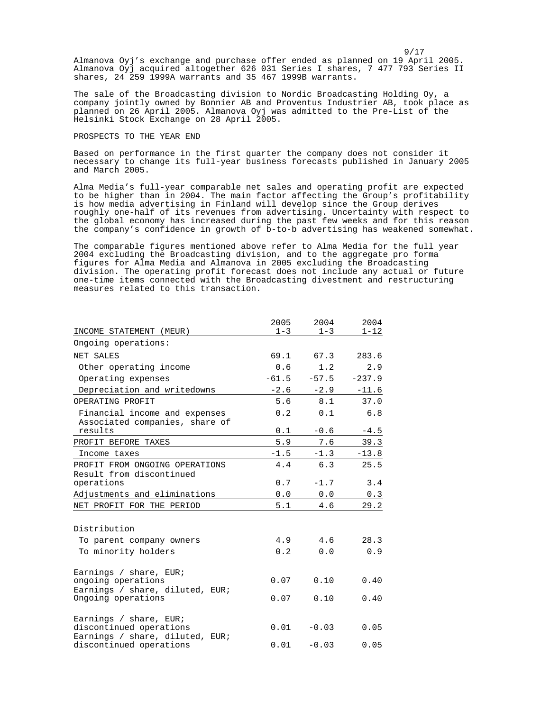9/17 Almanova Oyj's exchange and purchase offer ended as planned on 19 April 2005. Almanova Oyj acquired altogether 626 031 Series I shares, 7 477 793 Series II shares, 24 259 1999A warrants and 35 467 1999B warrants.

The sale of the Broadcasting division to Nordic Broadcasting Holding Oy, a company jointly owned by Bonnier AB and Proventus Industrier AB, took place as planned on 26 April 2005. Almanova Oyj was admitted to the Pre-List of the Helsinki Stock Exchange on 28 April 2005.

## PROSPECTS TO THE YEAR END

Based on performance in the first quarter the company does not consider it necessary to change its full-year business forecasts published in January 2005 and March 2005.

Alma Media's full-year comparable net sales and operating profit are expected to be higher than in 2004. The main factor affecting the Group's profitability is how media advertising in Finland will develop since the Group derives roughly one-half of its revenues from advertising. Uncertainty with respect to the global economy has increased during the past few weeks and for this reason the company's confidence in growth of b-to-b advertising has weakened somewhat.

The comparable figures mentioned above refer to Alma Media for the full year 2004 excluding the Broadcasting division, and to the aggregate pro forma figures for Alma Media and Almanova in 2005 excluding the Broadcasting division. The operating profit forecast does not include any actual or future one-time items connected with the Broadcasting divestment and restructuring measures related to this transaction.

|                                                                                      | 2005    | 2004    | 2004     |
|--------------------------------------------------------------------------------------|---------|---------|----------|
| INCOME STATEMENT (MEUR)                                                              | $1 - 3$ | $1 - 3$ | $1 - 12$ |
| Ongoing operations:                                                                  |         |         |          |
| NET SALES                                                                            | 69.1    | 67.3    | 283.6    |
| Other operating income                                                               | 0.6     | 1.2     | 2.9      |
| Operating expenses                                                                   | $-61.5$ | $-57.5$ | $-237.9$ |
| Depreciation and writedowns                                                          | $-2.6$  | $-2.9$  | $-11.6$  |
| OPERATING PROFIT                                                                     | 5.6     | 8.1     | 37.0     |
| Financial income and expenses<br>Associated companies, share of                      | 0.2     | 0.1     | 6.8      |
| results                                                                              | 0.1     | $-0.6$  | $-4.5$   |
| PROFIT BEFORE TAXES                                                                  | 5.9     | 7.6     | 39.3     |
| Income taxes                                                                         | $-1.5$  | $-1.3$  | $-13.8$  |
| PROFIT FROM ONGOING OPERATIONS<br>Result from discontinued                           | 4.4     | 6.3     | 25.5     |
| operations                                                                           | 0.7     | $-1.7$  | 3.4      |
| Adjustments and eliminations                                                         | 0.0     | 0.0     | 0.3      |
| NET PROFIT FOR THE PERIOD                                                            | 5.1     | 4.6     | 29.2     |
| Distribution                                                                         |         |         |          |
| To parent company owners                                                             | 4.9     | 4.6     | 28.3     |
| To minority holders                                                                  | 0.2     | 0.0     | 0.9      |
|                                                                                      |         |         |          |
| Earnings / share, EUR;<br>ongoing operations<br>Earnings / share, diluted, EUR;      | 0.07    | 0.10    | 0.40     |
| Ongoing operations                                                                   | 0.07    | 0.10    | 0.40     |
| Earnings / share, EUR;<br>discontinued operations<br>Earnings / share, diluted, EUR; | 0.01    | $-0.03$ | 0.05     |
| discontinued operations                                                              | 0.01    | $-0.03$ | 0.05     |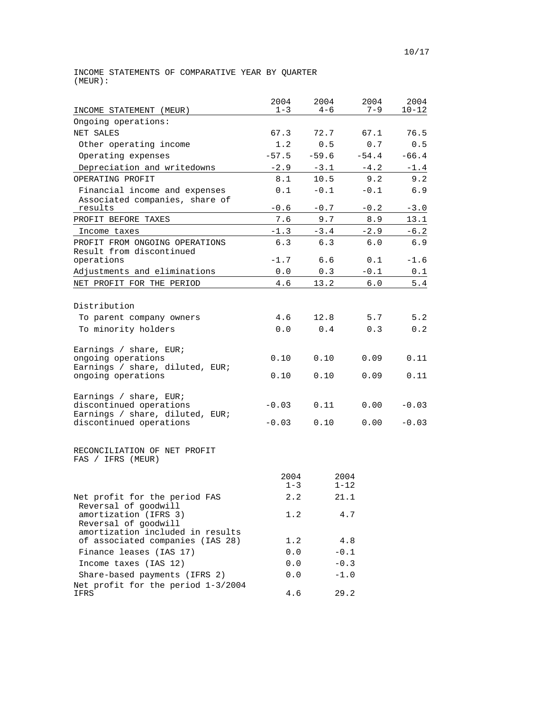INCOME STATEMENTS OF COMPARATIVE YEAR BY QUARTER (MEUR):

|                                                                                                                 | 2004               | 2004             | 2004         | 2004               |
|-----------------------------------------------------------------------------------------------------------------|--------------------|------------------|--------------|--------------------|
| INCOME STATEMENT (MEUR)                                                                                         | $1 - 3$            | $4 - 6$          | 7–9          | $10 - 12$          |
| Ongoing operations:                                                                                             |                    |                  |              |                    |
| NET SALES                                                                                                       | 67.3               | 72.7             | 67.1         | 76.5               |
| Other operating income                                                                                          | 1.2                | 0.5              | 0.7          | 0.5                |
| Operating expenses                                                                                              | $-57.5$            | $-59.6$          | $-54.4$      | $-66.4$            |
| Depreciation and writedowns                                                                                     | $-2.9$             | $-3.1$           | $-4.2$       | $-1.4$             |
| OPERATING PROFIT                                                                                                | 8.1                | 10.5             | 9.2          | 9.2                |
| Financial income and expenses<br>Associated companies, share of                                                 | 0.1                | $-0.1$           | $-0.1$       | 6.9                |
| results                                                                                                         | $-0.6$             | $-0.7$           | $-0.2$       | $-3.0$             |
| PROFIT BEFORE TAXES                                                                                             | 7.6                | 9.7              | 8.9          | 13.1               |
| Income taxes                                                                                                    | $-1.3$             | $-3.4$           | $-2.9$       | $-6.2$             |
| PROFIT FROM ONGOING OPERATIONS<br>Result from discontinued                                                      | 6.3                | 6.3              | 6.0          | 6.9                |
| operations                                                                                                      | $-1.7$             | 6.6              | 0.1          | $-1.6$             |
| Adjustments and eliminations                                                                                    | 0.0                | 0.3              | $-0.1$       | 0.1                |
| NET PROFIT FOR THE PERIOD                                                                                       | 4.6                | 13.2             | 6.0          | $5.4$              |
|                                                                                                                 |                    |                  |              |                    |
| Distribution                                                                                                    |                    |                  |              |                    |
| To parent company owners                                                                                        | 4.6                | 12.8             | 5.7          | 5.2                |
| To minority holders                                                                                             | 0.0                | 0.4              | 0.3          | 0.2                |
| Earnings / share, EUR;<br>ongoing operations                                                                    | 0.10               | 0.10             | 0.09         | 0.11               |
| Earnings / share, diluted, EUR;<br>ongoing operations                                                           | 0.10               | 0.10             | 0.09         | 0.11               |
| Earnings / share, EUR;<br>discontinued operations<br>Earnings / share, diluted, EUR;<br>discontinued operations | $-0.03$<br>$-0.03$ | 0.11<br>0.10     | 0.00<br>0.00 | $-0.03$<br>$-0.03$ |
| RECONCILIATION OF NET PROFIT<br>FAS / IFRS (MEUR)                                                               |                    |                  |              |                    |
|                                                                                                                 | 2004<br>$1 - 3$    | 2004<br>$1 - 12$ |              |                    |
| Net profit for the period FAS                                                                                   | 2.2                | 21.1             |              |                    |
| Reversal of goodwill<br>amortization (IFRS 3)<br>Reversal of goodwill                                           | 1.2                | 4.7              |              |                    |
| amortization included in results<br>of associated companies (IAS 28)                                            | 1.2                | 4.8              |              |                    |
| Finance leases (IAS 17)                                                                                         | 0.0                | $-0.1$           |              |                    |
| Income taxes (IAS 12)                                                                                           | 0.0                | $-0.3$           |              |                    |
| Share-based payments (IFRS 2)                                                                                   | 0.0                | $-1.0$           |              |                    |
| Net profit for the period 1-3/2004<br>IFRS                                                                      | 4.6                | 29.2             |              |                    |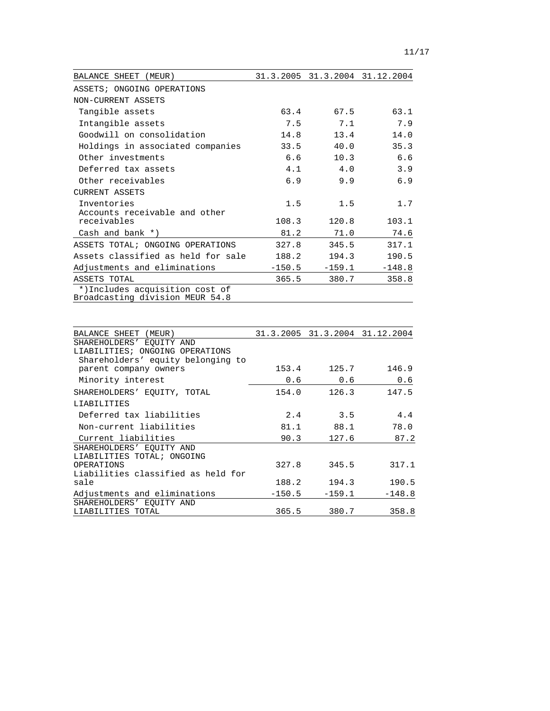| BALANCE SHEET<br>(MEUR)                                           |          |          | 31.3.2005 31.3.2004 31.12.2004 |
|-------------------------------------------------------------------|----------|----------|--------------------------------|
| ASSETS; ONGOING OPERATIONS                                        |          |          |                                |
| NON-CURRENT ASSETS                                                |          |          |                                |
| Tangible assets                                                   | 63.4     | 67.5     | 63.1                           |
| Intangible assets                                                 | 7.5      | 7.1      | 7.9                            |
| Goodwill on consolidation                                         | 14.8     | 13.4     | 14.0                           |
| Holdings in associated companies                                  | 33.5     | 40.0     | 35.3                           |
| Other investments                                                 | 6.6      | 10.3     | 6.6                            |
| Deferred tax assets                                               | 4.1      | 4.0      | 3.9                            |
| Other receivables                                                 | 6.9      | 9.9      | 6.9                            |
| CURRENT ASSETS                                                    |          |          |                                |
| Inventories                                                       | 1.5      | 1.5      | 1.7                            |
| Accounts receivable and other                                     |          |          |                                |
| receivables                                                       | 108.3    | 120.8    | 103.1                          |
| Cash and bank $*$ )                                               | 81.2     | 71.0     | 74.6                           |
| ASSETS TOTAL; ONGOING OPERATIONS                                  | 327.8    | 345.5    | 317.1                          |
| Assets classified as held for sale                                | 188.2    | 194.3    | 190.5                          |
| Adjustments and eliminations                                      | $-150.5$ | $-159.1$ | $-148.8$                       |
| ASSETS TOTAL                                                      | 365.5    | 380.7    | 358.8                          |
| *)Includes acquisition cost of<br>Broadcasting division MEUR 54.8 |          |          |                                |

| BALANCE SHEET (MEUR)               |          |          | 31.3.2005 31.3.2004 31.12.2004 |
|------------------------------------|----------|----------|--------------------------------|
| SHAREHOLDERS' EOUITY AND           |          |          |                                |
| LIABILITIES; ONGOING OPERATIONS    |          |          |                                |
| Shareholders' equity belonging to  |          |          |                                |
| parent company owners              | 153.4    | 125.7    | 146.9                          |
| Minority interest                  | 0.6      | 0.6      | 0.6                            |
| SHAREHOLDERS' EOUITY, TOTAL        | 154.0    | 126.3    | 147.5                          |
| LIABILITIES                        |          |          |                                |
| Deferred tax liabilities           | 2.4      | 3.5      | 4.4                            |
| Non-current liabilities            | 81.1     | 88.1     | 78.0                           |
| Current liabilities                | 90.3     | 127.6    | 87.2                           |
| SHAREHOLDERS' EOUITY AND           |          |          |                                |
| LIABILITIES TOTAL; ONGOING         |          |          |                                |
| OPERATIONS                         | 327.8    | 345.5    | 317.1                          |
| Liabilities classified as held for |          |          |                                |
| sale                               | 188.2    | 194.3    | 190.5                          |
| Adjustments and eliminations       | $-150.5$ | $-159.1$ | $-148.8$                       |
| SHAREHOLDERS' EOUITY AND           |          |          |                                |
| LIABILITIES TOTAL                  | 365.5    | 380.7    | 358.8                          |

i<br>L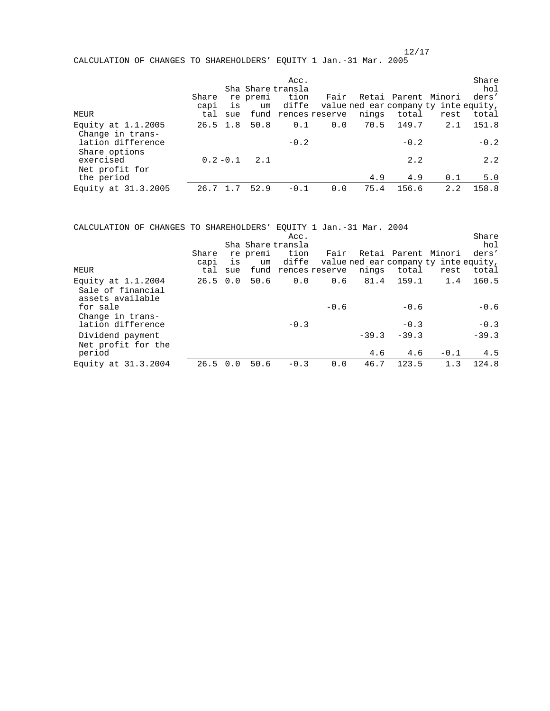CALCULATION OF CHANGES TO SHAREHOLDERS' EQUITY 1 Jan.-31 Mar. 2005

| MEUR                                                          | Share<br>capi<br>tal | is<br>sue   | re premi<br>um | Acc.<br>Sha Share transla<br>tion<br>diffe<br>fund rences reserve | Fair | nings | total           | Retai Parent Minori<br>value ned ear company ty inte equity,<br>rest | Share<br>hol<br>ders'<br>total |
|---------------------------------------------------------------|----------------------|-------------|----------------|-------------------------------------------------------------------|------|-------|-----------------|----------------------------------------------------------------------|--------------------------------|
| Equity at $1.1.2005$<br>Change in trans-<br>lation difference | 26.5 1.8             |             | 50.8           | 0.1<br>$-0.2$                                                     | 0.0  | 70.5  | 149.7<br>$-0.2$ | 2.1                                                                  | 151.8<br>$-0.2$                |
| Share options<br>exercised<br>Net profit for<br>the period    |                      | $0.2 - 0.1$ | 2.1            |                                                                   |      | 4.9   | 2.2<br>4.9      | 0.1                                                                  | 2.2<br>5.0                     |
| Equity at 31.3.2005                                           | 26.7                 |             | 52.9           | $-0.1$                                                            | 0.0  | 75.4  | 156.6           | 2.2                                                                  | 158.8                          |

CALCULATION OF CHANGES TO SHAREHOLDERS' EQUITY 1 Jan.-31 Mar. 2004

|                                                               |                      |           |                | Acc.<br>Sha Share transla |                             |         |                  |                                                                      | Share<br>hol     |
|---------------------------------------------------------------|----------------------|-----------|----------------|---------------------------|-----------------------------|---------|------------------|----------------------------------------------------------------------|------------------|
| MEUR                                                          | Share<br>capi<br>tal | is<br>sue | re premi<br>um | tion<br>diffe             | Fair<br>fund rences reserve | nings   | total            | Retai Parent Minori<br>value ned ear company ty inte equity,<br>rest | ders'<br>total   |
| Equity at $1.1.2004$<br>Sale of financial<br>assets available | $26.5 \t 0.0$        |           | 50.6           | 0.0                       | 0.6                         | 81.4    | 159.1            | 1.4                                                                  | 160.5            |
| for sale<br>Change in trans-<br>lation difference             |                      |           |                | $-0.3$                    | $-0.6$                      |         | $-0.6$<br>$-0.3$ |                                                                      | $-0.6$<br>$-0.3$ |
| Dividend payment<br>Net profit for the                        |                      |           |                |                           |                             | $-39.3$ | $-39.3$          |                                                                      | $-39.3$          |
| period                                                        |                      |           |                |                           |                             | 4.6     | 4.6              | $-0.1$                                                               | 4.5              |
| Equity at 31.3.2004                                           | $26.5 \t 0.0$        |           | 50.6           | $-0.3$                    | 0.0                         | 46.7    | 123.5            | 1.3                                                                  | 124.8            |

 $12/17$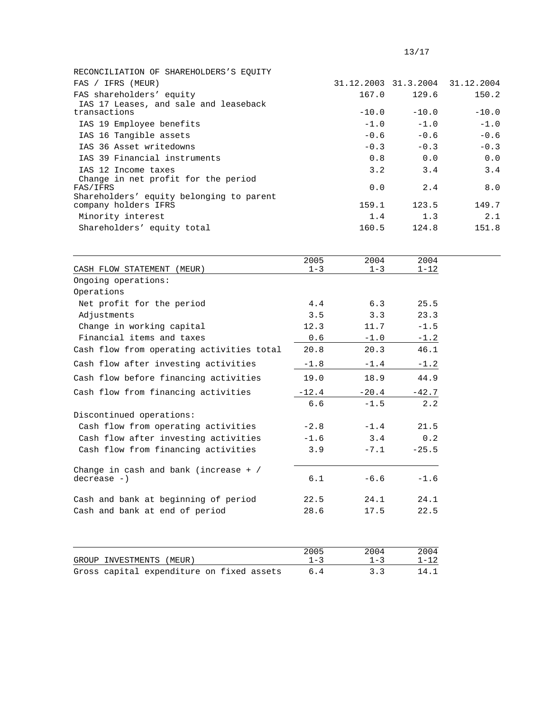| RECONCILIATION OF SHAREHOLDERS'S EOUITY  |         |         |                                 |
|------------------------------------------|---------|---------|---------------------------------|
| FAS / IFRS (MEUR)                        |         |         | 31.12.2003 31.3.2004 31.12.2004 |
| FAS shareholders' equity                 | 167.0   | 129.6   | 150.2                           |
| IAS 17 Leases, and sale and leaseback    |         |         |                                 |
| transactions                             | $-10.0$ | $-10.0$ | $-10.0$                         |
| IAS 19 Employee benefits                 | $-1.0$  | $-1.0$  | $-1.0$                          |
| IAS 16 Tangible assets                   | $-0.6$  | $-0.6$  | $-0.6$                          |
| IAS 36 Asset writedowns                  | $-0.3$  | $-0.3$  | $-0.3$                          |
| IAS 39 Financial instruments             | 0.8     | 0.0     | 0.0                             |
| IAS 12 Income taxes                      | 3.2     | 3.4     | 3.4                             |
| Change in net profit for the period      |         |         |                                 |
| FAS/IFRS                                 | 0.0     | 2.4     | 8.0                             |
| Shareholders' equity belonging to parent |         |         |                                 |
| company holders IFRS                     | 159.1   | 123.5   | 149.7                           |
| Minority interest                        | 1.4     | 1.3     | 2.1                             |
| Shareholders' equity total               | 160.5   | 124.8   | 151.8                           |
|                                          |         |         |                                 |

| CASH FLOW STATEMENT (MEUR)                | 2005<br>$1 - 3$ | 2004<br>$1 - 3$ | 2004<br>$1 - 12$ |
|-------------------------------------------|-----------------|-----------------|------------------|
| Ongoing operations:                       |                 |                 |                  |
| Operations                                |                 |                 |                  |
| Net profit for the period                 | 4.4             | 6.3             | 25.5             |
| Adjustments                               | 3.5             | 3.3             | 23.3             |
| Change in working capital                 | 12.3            | 11.7            | $-1.5$           |
| Financial items and taxes                 | 0.6             | $-1.0$          | $-1.2$           |
| Cash flow from operating activities total | 20.8            | 20.3            | 46.1             |
| Cash flow after investing activities      | $-1.8$          | $-1.4$          | $-1.2$           |
| Cash flow before financing activities     | 19.0            | 18.9            | 44.9             |
| Cash flow from financing activities       | $-12.4$         | $-20.4$         | $-42.7$          |
|                                           | 6.6             | $-1.5$          | 2.2              |
| Discontinued operations:                  |                 |                 |                  |
| Cash flow from operating activities       | $-2.8$          | $-1.4$          | 21.5             |
| Cash flow after investing activities      | $-1.6$          | 3.4             | 0.2              |
| Cash flow from financing activities       | 3.9             | $-7.1$          | $-25.5$          |
| Change in cash and bank (increase $+$ /   |                 |                 |                  |
| $decrease -)$                             | 6.1             | $-6.6$          | $-1.6$           |
| Cash and bank at beginning of period      | 22.5            | 24.1            | 24.1             |
| Cash and bank at end of period            | 28.6            | 17.5            | 22.5             |
|                                           |                 |                 |                  |
|                                           | 2005            | 2004            | 2004             |
| GROUP INVESTMENTS<br>(MEUR)               | $1 - 3$         | $1 - 3$         | $1 - 12$         |

Gross capital expenditure on fixed assets 6.4 3.3 14.1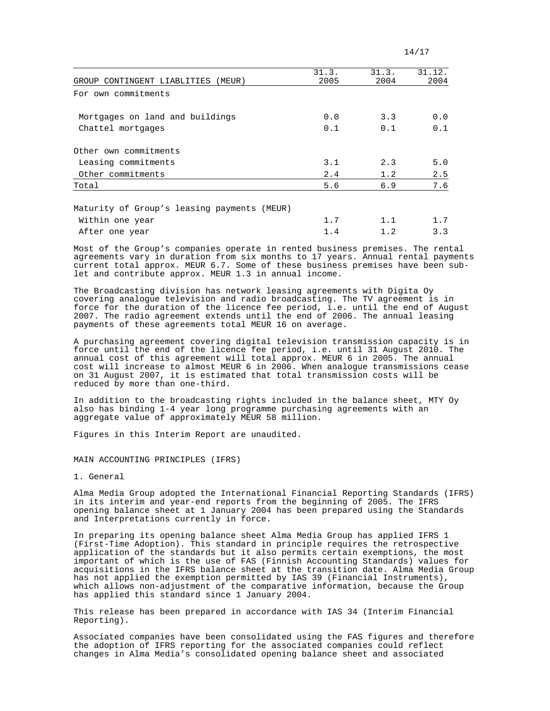| 14/17 |  |  |  |  |  |
|-------|--|--|--|--|--|
|-------|--|--|--|--|--|

| GROUP CONTINGENT LIABLITIES<br>(MEUR)       | 31.3.<br>2005 | 31.3.<br>2004 | 31.12.<br>2004 |
|---------------------------------------------|---------------|---------------|----------------|
|                                             |               |               |                |
| For own commitments                         |               |               |                |
| Mortgages on land and buildings             | 0.0           | 3.3           | 0.0            |
| Chattel mortgages                           | 0.1           | 0.1           | 0.1            |
| Other own commitments                       |               |               |                |
| Leasing commitments                         | 3.1           | 2.3           | 5.0            |
| Other commitments                           | 2.4           | 1.2           | 2.5            |
| Total                                       | 5.6           | 6.9           | 7.6            |
|                                             |               |               |                |
| Maturity of Group's leasing payments (MEUR) |               |               |                |
| Within one year                             | 1.7           |               | 1.7            |

After one year 1.4 1.2 3.3

Most of the Group's companies operate in rented business premises. The rental agreements vary in duration from six months to 17 years. Annual rental payments current total approx. MEUR 6.7. Some of these business premises have been sublet and contribute approx. MEUR 1.3 in annual income.

The Broadcasting division has network leasing agreements with Digita Oy covering analogue television and radio broadcasting. The TV agreement is in force for the duration of the licence fee period, i.e. until the end of August 2007. The radio agreement extends until the end of 2006. The annual leasing payments of these agreements total MEUR 16 on average.

A purchasing agreement covering digital television transmission capacity is in force until the end of the licence fee period, i.e. until 31 August 2010. The annual cost of this agreement will total approx. MEUR 6 in 2005. The annual cost will increase to almost MEUR 6 in 2006. When analogue transmissions cease on 31 August 2007, it is estimated that total transmission costs will be reduced by more than one-third.

In addition to the broadcasting rights included in the balance sheet, MTY Oy also has binding 1-4 year long programme purchasing agreements with an aggregate value of approximately MEUR 58 million.

Figures in this Interim Report are unaudited.

MAIN ACCOUNTING PRINCIPLES (IFRS)

1. General

Alma Media Group adopted the International Financial Reporting Standards (IFRS) in its interim and year-end reports from the beginning of 2005. The IFRS opening balance sheet at 1 January 2004 has been prepared using the Standards and Interpretations currently in force.

In preparing its opening balance sheet Alma Media Group has applied IFRS 1 (First-Time Adoption). This standard in principle requires the retrospective application of the standards but it also permits certain exemptions, the most important of which is the use of FAS (Finnish Accounting Standards) values for acquisitions in the IFRS balance sheet at the transition date. Alma Media Group has not applied the exemption permitted by IAS 39 (Financial Instruments), which allows non-adjustment of the comparative information, because the Group has applied this standard since 1 January 2004.

This release has been prepared in accordance with IAS 34 (Interim Financial Reporting).

Associated companies have been consolidated using the FAS figures and therefore the adoption of IFRS reporting for the associated companies could reflect changes in Alma Media's consolidated opening balance sheet and associated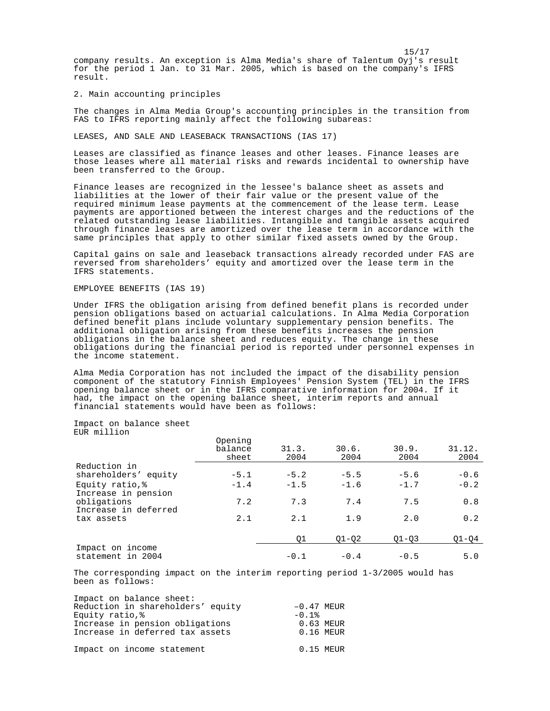15/17 company results. An exception is Alma Media's share of Talentum Oyj's result for the period 1 Jan. to 31 Mar. 2005, which is based on the company's IFRS result.

2. Main accounting principles

The changes in Alma Media Group's accounting principles in the transition from FAS to IFRS reporting mainly affect the following subareas:

LEASES, AND SALE AND LEASEBACK TRANSACTIONS (IAS 17)

Leases are classified as finance leases and other leases. Finance leases are those leases where all material risks and rewards incidental to ownership have been transferred to the Group.

Finance leases are recognized in the lessee's balance sheet as assets and liabilities at the lower of their fair value or the present value of the required minimum lease payments at the commencement of the lease term. Lease payments are apportioned between the interest charges and the reductions of the related outstanding lease liabilities. Intangible and tangible assets acquired through finance leases are amortized over the lease term in accordance with the same principles that apply to other similar fixed assets owned by the Group.

Capital gains on sale and leaseback transactions already recorded under FAS are reversed from shareholders' equity and amortized over the lease term in the IFRS statements.

### EMPLOYEE BENEFITS (IAS 19)

Under IFRS the obligation arising from defined benefit plans is recorded under pension obligations based on actuarial calculations. In Alma Media Corporation defined benefit plans include voluntary supplementary pension benefits. The additional obligation arising from these benefits increases the pension obligations in the balance sheet and reduces equity. The change in these obligations during the financial period is reported under personnel expenses in the income statement.

Alma Media Corporation has not included the impact of the disability pension component of the statutory Finnish Employees' Pension System (TEL) in the IFRS opening balance sheet or in the IFRS comparative information for 2004. If it had, the impact on the opening balance sheet, interim reports and annual financial statements would have been as follows:

Impact on balance sheet EUR million

|                                        | Opening<br>balance<br>sheet | 31.3.<br>2004 | 30.6.<br>2004 | 30.9.<br>2004 | 31.12.<br>2004 |
|----------------------------------------|-----------------------------|---------------|---------------|---------------|----------------|
| Reduction in                           |                             |               |               |               |                |
| shareholders' equity                   | $-5.1$                      | $-5.2$        | $-5.5$        | $-5.6$        | $-0.6$         |
| Equity ratio, %<br>Increase in pension | $-1.4$                      | $-1.5$        | $-1.6$        | $-1.7$        | $-0.2$         |
| obligations<br>Increase in deferred    | 7.2                         | 7.3           | 7.4           | 7.5           | 0.8            |
| tax assets                             | 2.1                         | 2.1           | 1.9           | 2.0           | 0.2            |
|                                        |                             | 01            | $Q1 - Q2$     | $Q1 - Q3$     | $Q1 - Q4$      |
| Impact on income<br>statement in 2004  |                             | $-0.1$        | $-0.4$        | $-0.5$        | 5.0            |

The corresponding impact on the interim reporting period 1-3/2005 would has been as follows:

| Impact on balance sheet:          |                  |
|-----------------------------------|------------------|
| Reduction in shareholders' equity | $-0.47$ MEUR     |
| Equity ratio,%                    | $-0.1$ $\approx$ |
| Increase in pension obligations   | 0.63 MEUR        |
| Increase in deferred tax assets   | $0.16$ MEUR      |
| Impact on income statement        | $0.15$ MEUR      |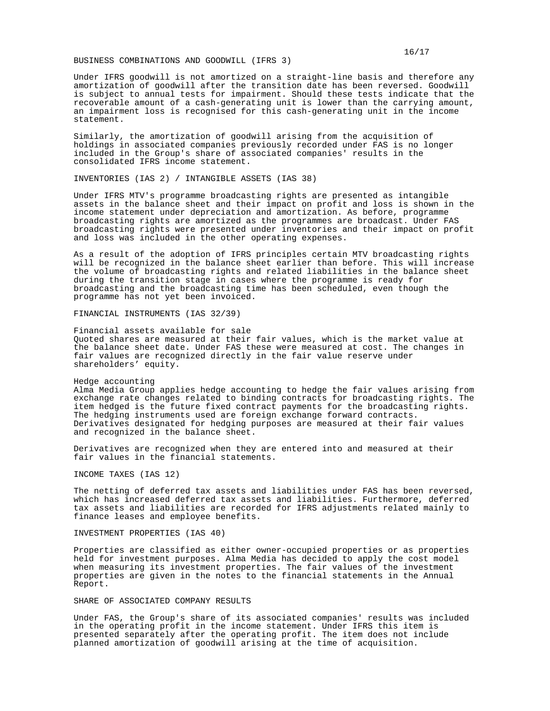#### BUSINESS COMBINATIONS AND GOODWILL (IFRS 3)

Under IFRS goodwill is not amortized on a straight-line basis and therefore any amortization of goodwill after the transition date has been reversed. Goodwill is subject to annual tests for impairment. Should these tests indicate that the recoverable amount of a cash-generating unit is lower than the carrying amount, an impairment loss is recognised for this cash-generating unit in the income statement.

Similarly, the amortization of goodwill arising from the acquisition of holdings in associated companies previously recorded under FAS is no longer included in the Group's share of associated companies' results in the consolidated IFRS income statement.

INVENTORIES (IAS 2) / INTANGIBLE ASSETS (IAS 38)

Under IFRS MTV's programme broadcasting rights are presented as intangible assets in the balance sheet and their impact on profit and loss is shown in the income statement under depreciation and amortization. As before, programme broadcasting rights are amortized as the programmes are broadcast. Under FAS broadcasting rights were presented under inventories and their impact on profit and loss was included in the other operating expenses.

As a result of the adoption of IFRS principles certain MTV broadcasting rights will be recognized in the balance sheet earlier than before. This will increase the volume of broadcasting rights and related liabilities in the balance sheet during the transition stage in cases where the programme is ready for broadcasting and the broadcasting time has been scheduled, even though the programme has not yet been invoiced.

FINANCIAL INSTRUMENTS (IAS 32/39)

Financial assets available for sale Quoted shares are measured at their fair values, which is the market value at the balance sheet date. Under FAS these were measured at cost. The changes in fair values are recognized directly in the fair value reserve under shareholders' equity.

### Hedge accounting

Alma Media Group applies hedge accounting to hedge the fair values arising from exchange rate changes related to binding contracts for broadcasting rights. The item hedged is the future fixed contract payments for the broadcasting rights. The hedging instruments used are foreign exchange forward contracts. Derivatives designated for hedging purposes are measured at their fair values and recognized in the balance sheet.

Derivatives are recognized when they are entered into and measured at their fair values in the financial statements.

INCOME TAXES (IAS 12)

The netting of deferred tax assets and liabilities under FAS has been reversed, which has increased deferred tax assets and liabilities. Furthermore, deferred tax assets and liabilities are recorded for IFRS adjustments related mainly to finance leases and employee benefits.

### INVESTMENT PROPERTIES (IAS 40)

Properties are classified as either owner-occupied properties or as properties held for investment purposes. Alma Media has decided to apply the cost model when measuring its investment properties. The fair values of the investment properties are given in the notes to the financial statements in the Annual Report.

#### SHARE OF ASSOCIATED COMPANY RESULTS

Under FAS, the Group's share of its associated companies' results was included in the operating profit in the income statement. Under IFRS this item is presented separately after the operating profit. The item does not include planned amortization of goodwill arising at the time of acquisition.